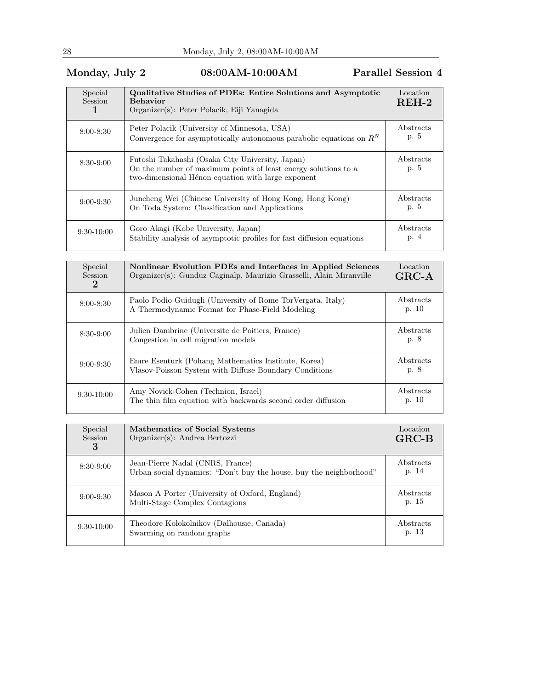## Monday, July 2 08:00AM-10:00AM Parallel Session 4

| Special<br><b>Session</b> | <b>Qualitative Studies of PDEs: Entire Solutions and Asymptotic</b><br><b>Behavior</b><br>Organizer(s): Peter Polacik, Eiji Yanagida                                     | Location<br>$REH-2$ |
|---------------------------|--------------------------------------------------------------------------------------------------------------------------------------------------------------------------|---------------------|
| $8:00 - 8:30$             | Peter Polacik (University of Minnesota, USA)<br>Convergence for asymptotically autonomous parabolic equations on $R^N$                                                   | Abstracts<br>p. 5   |
| $8:30-9:00$               | Futoshi Takahashi (Osaka City University, Japan)<br>On the number of maximum points of least energy solutions to a<br>two-dimensional Hénon equation with large exponent | Abstracts<br>p. 5   |
| $9:00 - 9:30$             | Juncheng Wei (Chinese University of Hong Kong, Hong Kong)<br>On Toda System: Classification and Applications                                                             | Abstracts<br>p. 5   |
| $9:30-10:00$              | Goro Akagi (Kobe University, Japan)<br>Stability analysis of asymptotic profiles for fast diffusion equations                                                            | Abstracts<br>p. 4   |

| Special<br><b>Session</b><br>$\bf{2}$ | Nonlinear Evolution PDEs and Interfaces in Applied Sciences<br>Organizer(s): Gunduz Caginalp, Maurizio Grasselli, Alain Miranville | Location<br>$GRC-A$ |
|---------------------------------------|------------------------------------------------------------------------------------------------------------------------------------|---------------------|
| $8:00 - 8:30$                         | Paolo Podio-Guidugli (University of Rome TorVergata, Italy)<br>A Thermodynamic Format for Phase-Field Modeling                     | Abstracts<br>p. 10  |
| $8:30-9:00$                           | Julien Dambrine (Universite de Poitiers, France)<br>Congestion in cell migration models                                            | Abstracts<br>p. 8   |
| $9:00 - 9:30$                         | Emre Esenturk (Pohang Mathematics Institute, Korea)<br>Vlasov-Poisson System with Diffuse Boundary Conditions                      | Abstracts<br>p. 8   |
| $9:30-10:00$                          | Amy Novick-Cohen (Technion, Israel)<br>The thin film equation with backwards second order diffusion                                | Abstracts<br>p. 10  |

| Special<br><b>Session</b><br>3 | Mathematics of Social Systems<br>Organizer(s): Andrea Bertozzi                                         | Location<br>$GRC-B$ |
|--------------------------------|--------------------------------------------------------------------------------------------------------|---------------------|
| $8:30-9:00$                    | Jean-Pierre Nadal (CNRS, France)<br>Urban social dynamics: "Don't buy the house, buy the neighborhood" | Abstracts<br>p. 14  |
| $9:00 - 9:30$                  | Mason A Porter (University of Oxford, England)<br>Multi-Stage Complex Contagions                       | Abstracts<br>p. 15  |
| $9:30-10:00$                   | Theodore Kolokolnikov (Dalhousie, Canada)<br>Swarming on random graphs                                 | Abstracts<br>p. 13  |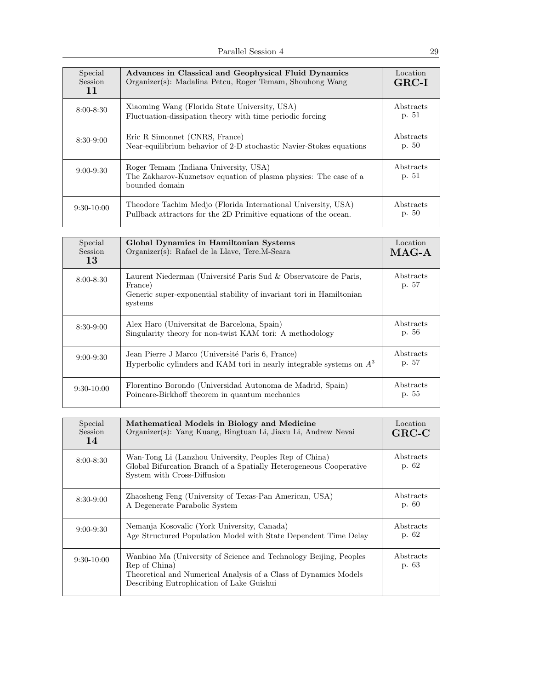| Special<br>Session<br>11 | Advances in Classical and Geophysical Fluid Dynamics<br>Organizer(s): Madalina Petcu, Roger Temam, Shouhong Wang                  | Location<br>$GRC-I$ |
|--------------------------|-----------------------------------------------------------------------------------------------------------------------------------|---------------------|
| $8:00 - 8:30$            | Xiaoming Wang (Florida State University, USA)<br>Fluctuation-dissipation theory with time periodic forcing                        | Abstracts<br>p. 51  |
| $8:30-9:00$              | Eric R Simonnet (CNRS, France)<br>Near-equilibrium behavior of 2-D stochastic Navier-Stokes equations                             | Abstracts<br>p. 50  |
| $9:00 - 9:30$            | Roger Temam (Indiana University, USA)<br>The Zakharov-Kuznetsov equation of plasma physics: The case of a<br>bounded domain       | Abstracts<br>p. 51  |
| $9:30-10:00$             | Theodore Tachim Medjo (Florida International University, USA)<br>Pullback attractors for the 2D Primitive equations of the ocean. | Abstracts<br>p. 50  |

| Special<br><b>Session</b><br>13 | Global Dynamics in Hamiltonian Systems<br>Organizer(s): Rafael de la Llave, Tere.M-Seara                                                                       | Location<br>$MAG-A$ |
|---------------------------------|----------------------------------------------------------------------------------------------------------------------------------------------------------------|---------------------|
| $8:00 - 8:30$                   | Laurent Niederman (Université Paris Sud & Observatoire de Paris,<br>France)<br>Generic super-exponential stability of invariant tori in Hamiltonian<br>systems | Abstracts<br>p. 57  |
| $8:30-9:00$                     | Alex Haro (Universitat de Barcelona, Spain)<br>Singularity theory for non-twist KAM tori: A methodology                                                        | Abstracts<br>p. 56  |
| $9:00 - 9:30$                   | Jean Pierre J Marco (Université Paris 6, France)<br>Hyperbolic cylinders and KAM tori in nearly integrable systems on $A3$                                     | Abstracts<br>p. 57  |
| $9:30-10:00$                    | Florentino Borondo (Universidad Autonoma de Madrid, Spain)<br>Poincare-Birkhoff theorem in quantum mechanics                                                   | Abstracts<br>p. 55  |

| Special<br>Session<br>14 | Mathematical Models in Biology and Medicine<br>Organizer(s): Yang Kuang, Bingtuan Li, Jiaxu Li, Andrew Nevai                                                                                        | Location<br>$GRC-C$ |
|--------------------------|-----------------------------------------------------------------------------------------------------------------------------------------------------------------------------------------------------|---------------------|
| $8:00 - 8:30$            | Wan-Tong Li (Lanzhou University, Peoples Rep of China)<br>Global Bifurcation Branch of a Spatially Heterogeneous Cooperative<br>System with Cross-Diffusion                                         | Abstracts<br>p. 62  |
| $8:30-9:00$              | Zhaosheng Feng (University of Texas-Pan American, USA)<br>A Degenerate Parabolic System                                                                                                             | Abstracts<br>p. 60  |
| $9:00-9:30$              | Nemanja Kosovalic (York University, Canada)<br>Age Structured Population Model with State Dependent Time Delay                                                                                      | Abstracts<br>p. 62  |
| $9:30-10:00$             | Wanbiao Ma (University of Science and Technology Beijing, Peoples<br>Rep of China)<br>Theoretical and Numerical Analysis of a Class of Dynamics Models<br>Describing Eutrophication of Lake Guishui | Abstracts<br>p. 63  |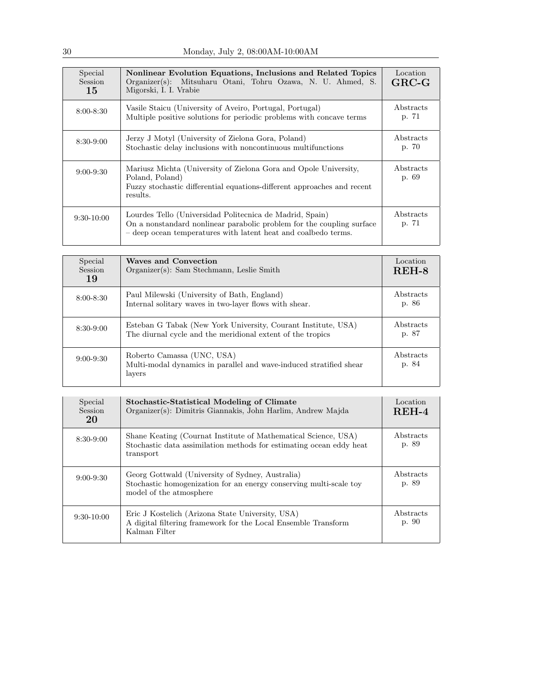| Special<br>Session<br>15 | Nonlinear Evolution Equations, Inclusions and Related Topics<br>Organizer(s): Mitsuharu Otani, Tohru Ozawa, N. U. Ahmed, S.<br>Migorski, I. I. Vrabie                                               | Location<br>$GRC-G$ |
|--------------------------|-----------------------------------------------------------------------------------------------------------------------------------------------------------------------------------------------------|---------------------|
| $8:00 - 8:30$            | Vasile Staicu (University of Aveiro, Portugal, Portugal)<br>Multiple positive solutions for periodic problems with concave terms                                                                    | Abstracts<br>p. 71  |
| $8:30-9:00$              | Jerzy J Motyl (University of Zielona Gora, Poland)<br>Stochastic delay inclusions with noncontinuous multifunctions                                                                                 | Abstracts<br>p. 70  |
| $9:00-9:30$              | Mariusz Michta (University of Zielona Gora and Opole University,<br>Poland, Poland)<br>Fuzzy stochastic differential equations-different approaches and recent<br>results.                          | Abstracts<br>p. 69  |
| $9:30-10:00$             | Lourdes Tello (Universidad Politecnica de Madrid, Spain)<br>On a nonstandard nonlinear parabolic problem for the coupling surface<br>- deep ocean temperatures with latent heat and coalbedo terms. | Abstracts<br>p. 71  |

| Special<br>Session<br>19 | <b>Waves and Convection</b><br>Organizer(s): Sam Stechmann, Leslie Smith                                                    | Location<br>REH-8  |
|--------------------------|-----------------------------------------------------------------------------------------------------------------------------|--------------------|
| $8:00 - 8:30$            | Paul Milewski (University of Bath, England)<br>Internal solitary waves in two-layer flows with shear.                       | Abstracts<br>p. 86 |
| $8:30-9:00$              | Esteban G Tabak (New York University, Courant Institute, USA)<br>The diurnal cycle and the meridional extent of the tropics | Abstracts<br>p. 87 |
| $9:00 - 9:30$            | Roberto Camassa (UNC, USA)<br>Multi-modal dynamics in parallel and wave-induced stratified shear<br>layers                  | Abstracts<br>p. 84 |

| Special<br>Session<br>20 | <b>Stochastic-Statistical Modeling of Climate</b><br>Organizer(s): Dimitris Giannakis, John Harlim, Andrew Majda                                   | Location<br>$REH-4$ |
|--------------------------|----------------------------------------------------------------------------------------------------------------------------------------------------|---------------------|
| $8:30-9:00$              | Shane Keating (Cournat Institute of Mathematical Science, USA)<br>Stochastic data assimilation methods for estimating ocean eddy heat<br>transport | Abstracts<br>p. 89  |
| $9:00 - 9:30$            | Georg Gottwald (University of Sydney, Australia)<br>Stochastic homogenization for an energy conserving multi-scale toy<br>model of the atmosphere  | Abstracts<br>p. 89  |
| $9:30-10:00$             | Eric J Kostelich (Arizona State University, USA)<br>A digital filtering framework for the Local Ensemble Transform<br>Kalman Filter                | Abstracts<br>p. 90  |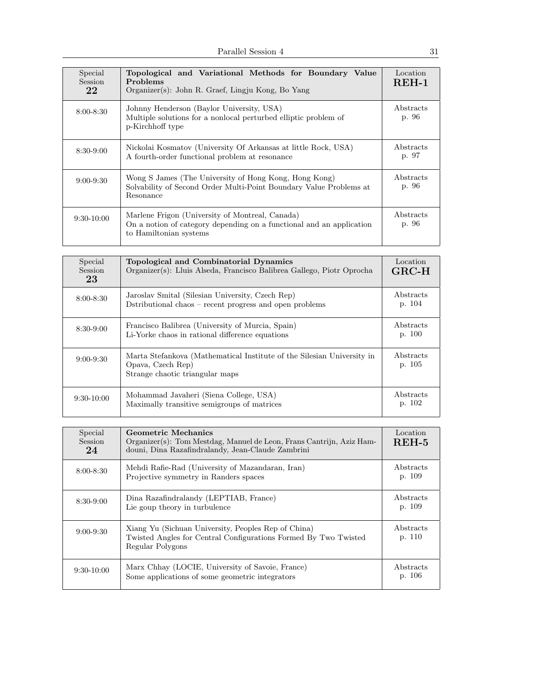| Special<br><b>Session</b><br>22 | Topological and Variational Methods for Boundary Value<br>Problems<br>Organizer(s): John R. Graef, Lingju Kong, Bo Yang                           | Location<br><b>REH-1</b> |
|---------------------------------|---------------------------------------------------------------------------------------------------------------------------------------------------|--------------------------|
| $8:00 - 8:30$                   | Johnny Henderson (Baylor University, USA)<br>Multiple solutions for a nonlocal perturbed elliptic problem of<br>p-Kirchhoff type                  | Abstracts<br>p. 96       |
| $8:30-9:00$                     | Nickolai Kosmatov (University Of Arkansas at little Rock, USA)<br>A fourth-order functional problem at resonance                                  | Abstracts<br>p. 97       |
| $9:00 - 9:30$                   | Wong S James (The University of Hong Kong, Hong Kong)<br>Solvability of Second Order Multi-Point Boundary Value Problems at<br>Resonance          | Abstracts<br>p. 96       |
| $9:30-10:00$                    | Marlene Frigon (University of Montreal, Canada)<br>On a notion of category depending on a functional and an application<br>to Hamiltonian systems | Abstracts<br>p. 96       |

| Special<br><b>Session</b><br>23 | Topological and Combinatorial Dynamics<br>Organizer(s): Lluis Alseda, Francisco Balibrea Gallego, Piotr Oprocha                | Location<br>$GRC-H$ |
|---------------------------------|--------------------------------------------------------------------------------------------------------------------------------|---------------------|
| $8:00 - 8:30$                   | Jaroslav Smital (Silesian University, Czech Rep)<br>Dstributional chaos – recent progress and open problems                    | Abstracts<br>p. 104 |
| $8:30-9:00$                     | Francisco Balibrea (University of Murcia, Spain)<br>Li-Yorke chaos in rational difference equations                            | Abstracts<br>p. 100 |
| $9:00 - 9:30$                   | Marta Stefankova (Mathematical Institute of the Silesian University in<br>Opava, Czech Rep)<br>Strange chaotic triangular maps | Abstracts<br>p. 105 |
| $9:30-10:00$                    | Mohammad Javaheri (Siena College, USA)<br>Maximally transitive semigroups of matrices                                          | Abstracts<br>p. 102 |

| Special<br><b>Session</b><br>24 | Geometric Mechanics<br>Organizer(s): Tom Mestdag, Manuel de Leon, Frans Cantrijn, Aziz Ham-<br>douni, Dina Razafindralandy, Jean-Claude Zambrini | Location<br>$REH-5$ |
|---------------------------------|--------------------------------------------------------------------------------------------------------------------------------------------------|---------------------|
| $8:00 - 8:30$                   | Mehdi Rafie-Rad (University of Mazandaran, Iran)<br>Projective symmetry in Randers spaces                                                        | Abstracts<br>p. 109 |
| $8:30-9:00$                     | Dina Razafindralandy (LEPTIAB, France)<br>Lie goup theory in turbulence                                                                          | Abstracts<br>p. 109 |
| $9:00 - 9:30$                   | Xiang Yu (Sichuan University, Peoples Rep of China)<br>Twisted Angles for Central Configurations Formed By Two Twisted<br>Regular Polygons       | Abstracts<br>p. 110 |
| $9:30-10:00$                    | Marx Chhay (LOCIE, University of Savoie, France)<br>Some applications of some geometric integrators                                              | Abstracts<br>p. 106 |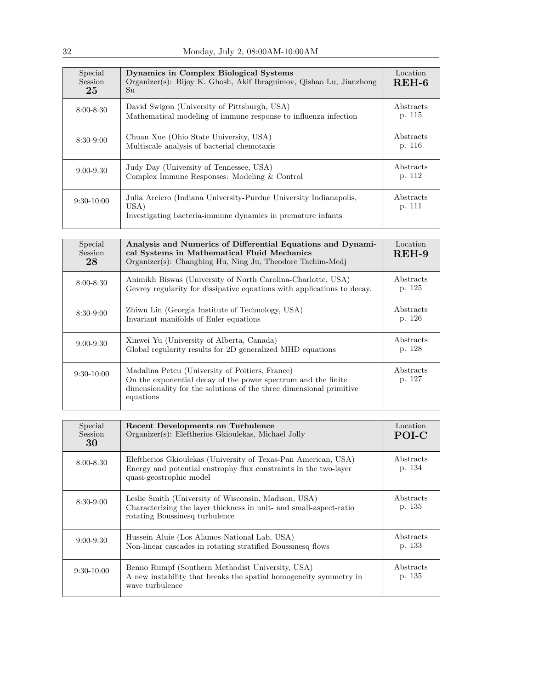| Special<br><b>Session</b><br>25 | Dynamics in Complex Biological Systems<br>Organizer(s): Bijoy K. Ghosh, Akif Ibraguimov, Qishao Lu, Jianzhong<br>Su                      | Location<br>$REH-6$ |
|---------------------------------|------------------------------------------------------------------------------------------------------------------------------------------|---------------------|
| $8:00 - 8:30$                   | David Swigon (University of Pittsburgh, USA)<br>Mathematical modeling of immune response to influenza infection                          | Abstracts<br>p. 115 |
| $8:30-9:00$                     | Chuan Xue (Ohio State University, USA)<br>Multiscale analysis of bacterial chemotaxis                                                    | Abstracts<br>p. 116 |
| $9:00 - 9:30$                   | Judy Day (University of Tennessee, USA)<br>Complex Immune Responses: Modeling & Control                                                  | Abstracts<br>p. 112 |
| $9:30-10:00$                    | Julia Arciero (Indiana University-Purdue University Indianapolis,<br>USA)<br>Investigating bacteria-immune dynamics in premature infants | Abstracts<br>p. 111 |

| Special<br><b>Session</b><br>28 | Analysis and Numerics of Differential Equations and Dynami-<br>cal Systems in Mathematical Fluid Mechanics<br>Organizer(s): Changbing Hu, Ning Ju, Theodore Tachim-Medj                              | Location<br>$REH-9$ |
|---------------------------------|------------------------------------------------------------------------------------------------------------------------------------------------------------------------------------------------------|---------------------|
| $8:00 - 8:30$                   | Animikh Biswas (University of North Carolina-Charlotte, USA)<br>Gevrey regularity for dissipative equations with applications to decay.                                                              | Abstracts<br>p. 125 |
| $8:30-9:00$                     | Zhiwu Lin (Georgia Institute of Technology, USA)<br>Invariant manifolds of Euler equations                                                                                                           | Abstracts<br>p. 126 |
| $9:00 - 9:30$                   | Xinwei Yu (University of Alberta, Canada)<br>Global regularity results for 2D generalized MHD equations                                                                                              | Abstracts<br>p. 128 |
| $9:30-10:00$                    | Madalina Petcu (University of Poitiers, France)<br>On the exponential decay of the power spectrum and the finite<br>dimensionality for the solutions of the three dimensional primitive<br>equations | Abstracts<br>p. 127 |

| Special<br>Session<br>30 | Recent Developments on Turbulence<br>Organizer(s): Eleftherios Gkioulekas, Michael Jolly                                                                      | Location<br>POI-C   |
|--------------------------|---------------------------------------------------------------------------------------------------------------------------------------------------------------|---------------------|
| $8:00 - 8:30$            | Eleftherios Gkioulekas (University of Texas-Pan American, USA)<br>Energy and potential enstrophy flux constraints in the two-layer<br>quasi-geostrophic model | Abstracts<br>p. 134 |
| $8:30-9:00$              | Leslie Smith (University of Wisconsin, Madison, USA)<br>Characterizing the layer thickness in unit- and small-aspect-ratio<br>rotating Boussinesq turbulence  | Abstracts<br>p. 135 |
| $9:00 - 9:30$            | Hussein Aluie (Los Alamos National Lab, USA)<br>Non-linear cascades in rotating stratified Boussinesq flows                                                   | Abstracts<br>p. 133 |
| $9:30-10:00$             | Benno Rumpf (Southern Methodist University, USA)<br>A new instability that breaks the spatial homogeneity symmetry in<br>wave turbulence                      | Abstracts<br>p. 135 |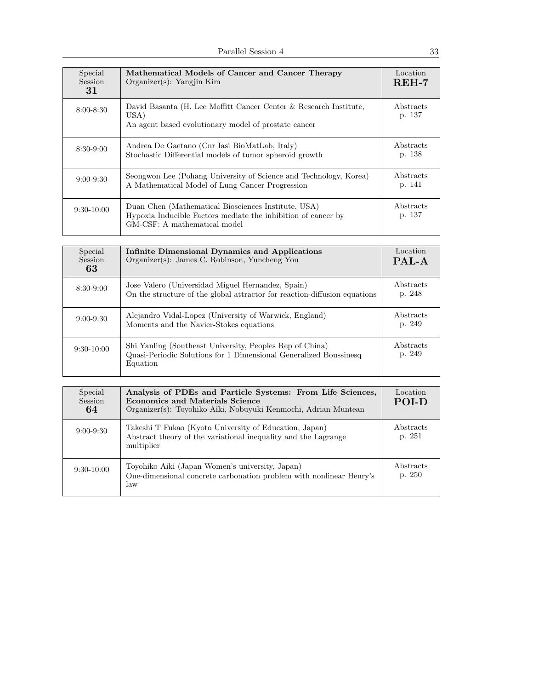| Special<br><b>Session</b><br>31 | Mathematical Models of Cancer and Cancer Therapy<br>Organizer(s): Yangjin Kim                                                                        | Location<br>$REH-7$ |
|---------------------------------|------------------------------------------------------------------------------------------------------------------------------------------------------|---------------------|
| $8:00 - 8:30$                   | David Basanta (H. Lee Moffitt Cancer Center & Research Institute,<br>USA)<br>An agent based evolutionary model of prostate cancer                    | Abstracts<br>p. 137 |
| $8:30-9:00$                     | Andrea De Gaetano (Cnr Iasi BioMatLab, Italy)<br>Stochastic Differential models of tumor spheroid growth                                             | Abstracts<br>p. 138 |
| $9:00 - 9:30$                   | Seongwon Lee (Pohang University of Science and Technology, Korea)<br>A Mathematical Model of Lung Cancer Progression                                 | Abstracts<br>p. 141 |
| $9:30-10:00$                    | Duan Chen (Mathematical Biosciences Institute, USA)<br>Hypoxia Inducible Factors mediate the inhibition of cancer by<br>GM-CSF: A mathematical model | Abstracts<br>p. 137 |

| Special<br>Session<br>63 | Infinite Dimensional Dynamics and Applications<br>Organizer(s): James C. Robinson, Yuncheng You                                           | Location<br>PAL-A          |
|--------------------------|-------------------------------------------------------------------------------------------------------------------------------------------|----------------------------|
| $8:30-9:00$              | Jose Valero (Universidad Miguel Hernandez, Spain)<br>On the structure of the global attractor for reaction-diffusion equations            | <b>Abstracts</b><br>p. 248 |
| $9:00 - 9:30$            | Alejandro Vidal-Lopez (University of Warwick, England)<br>Moments and the Navier-Stokes equations                                         | Abstracts<br>p. 249        |
| $9:30-10:00$             | Shi Yanling (Southeast University, Peoples Rep of China)<br>Quasi-Periodic Solutions for 1 Dimensional Generalized Boussinesq<br>Equation | Abstracts<br>p. 249        |

| Special<br>Session<br>64 | Analysis of PDEs and Particle Systems: From Life Sciences,<br><b>Economics and Materials Science</b><br>Organizer(s): Toyohiko Aiki, Nobuyuki Kenmochi, Adrian Muntean | Location<br>POLD            |
|--------------------------|------------------------------------------------------------------------------------------------------------------------------------------------------------------------|-----------------------------|
| $9:00 - 9:30$            | Takeshi T Fukao (Kyoto University of Education, Japan)<br>Abstract theory of the variational inequality and the Lagrange<br>multiplier                                 | <b>A</b> bstracts<br>p. 251 |
| $9:30-10:00$             | Toyohiko Aiki (Japan Women's university, Japan)<br>One-dimensional concrete carbonation problem with nonlinear Henry's<br>law                                          | Abstracts<br>p. 250         |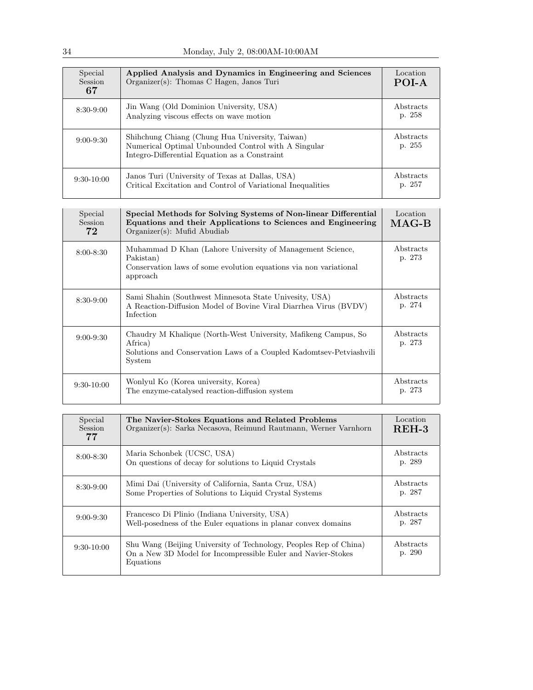| Special<br>Session<br>67 | Applied Analysis and Dynamics in Engineering and Sciences<br>Organizer(s): Thomas C Hagen, Janos Turi                                                   | Location<br>POI-A   |
|--------------------------|---------------------------------------------------------------------------------------------------------------------------------------------------------|---------------------|
| $8:30-9:00$              | Jin Wang (Old Dominion University, USA)<br>Analyzing viscous effects on wave motion                                                                     | Abstracts<br>p. 258 |
| $9:00 - 9:30$            | Shihchung Chiang (Chung Hua University, Taiwan)<br>Numerical Optimal Unbounded Control with A Singular<br>Integro-Differential Equation as a Constraint | Abstracts<br>p. 255 |
| $9:30-10:00$             | Janos Turi (University of Texas at Dallas, USA)<br>Critical Excitation and Control of Variational Inequalities                                          | Abstracts<br>p. 257 |

| Special<br><b>Session</b><br>72 | Special Methods for Solving Systems of Non-linear Differential<br>Equations and their Applications to Sciences and Engineering<br>Organizer(s): Mufid Abudiab | Location<br>$MAG-B$ |
|---------------------------------|---------------------------------------------------------------------------------------------------------------------------------------------------------------|---------------------|
| $8:00 - 8:30$                   | Muhammad D Khan (Lahore University of Management Science,<br>Pakistan)<br>Conservation laws of some evolution equations via non variational<br>approach       | Abstracts<br>p. 273 |
| $8:30-9:00$                     | Sami Shahin (Southwest Minnesota State Univesity, USA)<br>A Reaction-Diffusion Model of Bovine Viral Diarrhea Virus (BVDV)<br>Infection                       | Abstracts<br>p. 274 |
| $9:00 - 9:30$                   | Chaudry M Khalique (North-West University, Mafikeng Campus, So<br>Africa)<br>Solutions and Conservation Laws of a Coupled Kadomtsev-Petviashvili<br>System    | Abstracts<br>p. 273 |
| $9:30-10:00$                    | Wonlyul Ko (Korea university, Korea)<br>The enzyme-catalysed reaction-diffusion system                                                                        | Abstracts<br>p. 273 |

| Special<br><b>Session</b><br>77 | The Navier-Stokes Equations and Related Problems<br>Organizer(s): Sarka Necasova, Reimund Rautmann, Werner Varnhorn                            | Location<br>$REH-3$ |
|---------------------------------|------------------------------------------------------------------------------------------------------------------------------------------------|---------------------|
| $8:00 - 8:30$                   | Maria Schonbek (UCSC, USA)<br>On questions of decay for solutions to Liquid Crystals                                                           | Abstracts<br>p. 289 |
| $8:30-9:00$                     | Mimi Dai (University of California, Santa Cruz, USA)<br>Some Properties of Solutions to Liquid Crystal Systems                                 | Abstracts<br>p. 287 |
| $9:00 - 9:30$                   | Francesco Di Plinio (Indiana University, USA)<br>Well-posedness of the Euler equations in planar convex domains                                | Abstracts<br>p. 287 |
| $9:30-10:00$                    | Shu Wang (Beijing University of Technology, Peoples Rep of China)<br>On a New 3D Model for Incompressible Euler and Navier-Stokes<br>Equations | Abstracts<br>p. 290 |